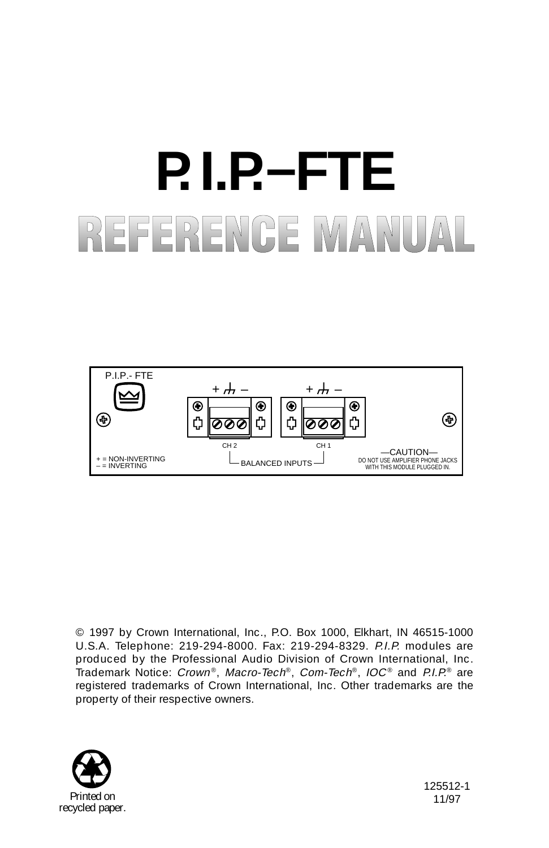# **P.I.P.–FTE** REFERENCE MANUAL



© 1997 by Crown International, Inc., P.O. Box 1000, Elkhart, IN 46515-1000 U.S.A. Telephone: 219-294-8000. Fax: 219-294-8329. P.I.P. modules are produced by the Professional Audio Division of Crown International, Inc. Trademark Notice: Crown®, Macro-Tech®, Com-Tech®, IOC® and P.I.P.® are registered trademarks of Crown International, Inc. Other trademarks are the property of their respective owners.



125512-1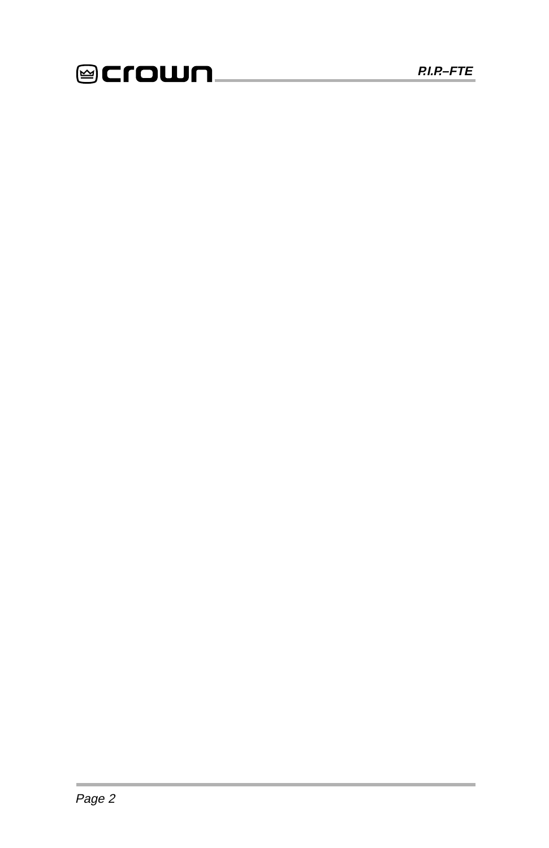## @crown\_\_\_\_\_\_\_\_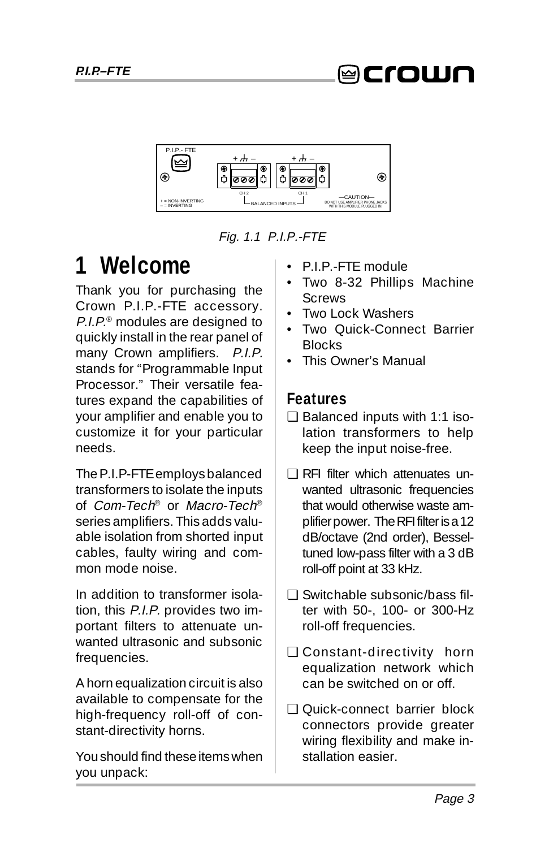

Fig. 1.1 P.I.P.-FTE

## **1 Welcome**

Thank you for purchasing the Crown P.I.P.-FTE accessory. P.I.P.<sup>®</sup> modules are designed to quickly install in the rear panel of many Crown amplifiers. P.I.P. stands for "Programmable Input Processor." Their versatile features expand the capabilities of your amplifier and enable you to customize it for your particular needs.

The P.I.P-FTE employs balanced transformers to isolate the inputs of Com-Tech® or Macro-Tech® series amplifiers. This adds valuable isolation from shorted input cables, faulty wiring and common mode noise.

In addition to transformer isolation, this P.I.P. provides two important filters to attenuate unwanted ultrasonic and subsonic frequencies.

A horn equalization circuit is also available to compensate for the high-frequency roll-off of constant-directivity horns.

You should find these items when you unpack:

- P.I.P.-FTE module
- Two 8-32 Phillips Machine Screws

**⊗crown** 

- Two Lock Washers
- Two Quick-Connect Barrier **Blocks**
- This Owner's Manual

#### **Features**

- ❏ Balanced inputs with 1:1 isolation transformers to help keep the input noise-free.
- ❏ RFI filter which attenuates unwanted ultrasonic frequencies that would otherwise waste amplifier power. The RFI filter is a 12 dB/octave (2nd order), Besseltuned low-pass filter with a 3 dB roll-off point at 33 kHz.
- ❏ Switchable subsonic/bass filter with 50-, 100- or 300-Hz roll-off frequencies.
- ❏ Constant-directivity horn equalization network which can be switched on or off.
- ❏ Quick-connect barrier block connectors provide greater wiring flexibility and make installation easier.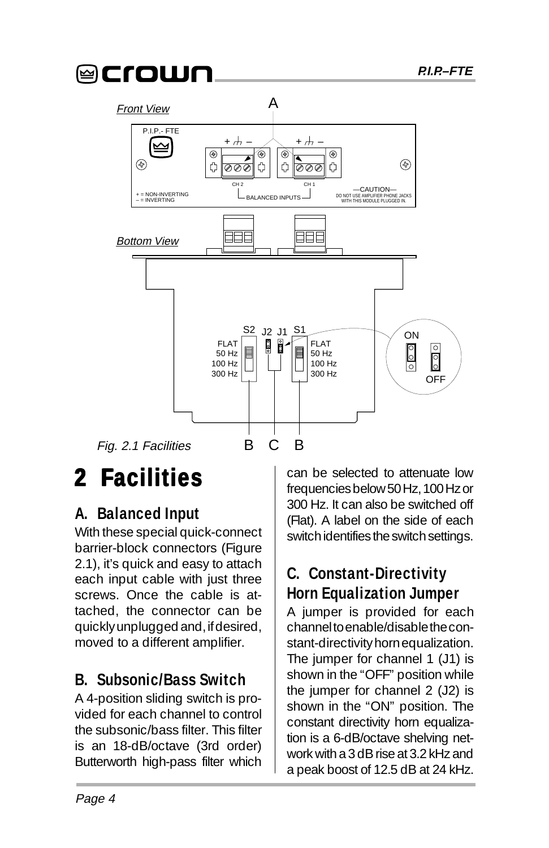

# **2 Facilities**

#### **A. Balanced Input**

With these special quick-connect barrier-block connectors (Figure 2.1), it's quick and easy to attach each input cable with just three screws. Once the cable is attached, the connector can be quickly unplugged and, if desired, moved to a different amplifier.

#### **B. Subsonic/Bass Switch**

A 4-position sliding switch is provided for each channel to control the subsonic/bass filter. This filter is an 18-dB/octave (3rd order) Butterworth high-pass filter which can be selected to attenuate low frequencies below 50 Hz, 100 Hz or 300 Hz. It can also be switched off (Flat). A label on the side of each switch identifies the switch settings.

#### **C. Constant-Directivity Horn Equalization Jumper**

A jumper is provided for each channel to enable/disable the constant-directivity horn equalization. The jumper for channel 1 (J1) is shown in the "OFF" position while the jumper for channel 2 (J2) is shown in the "ON" position. The constant directivity horn equalization is a 6-dB/octave shelving network with a 3 dB rise at 3.2 kHz and a peak boost of 12.5 dB at 24 kHz.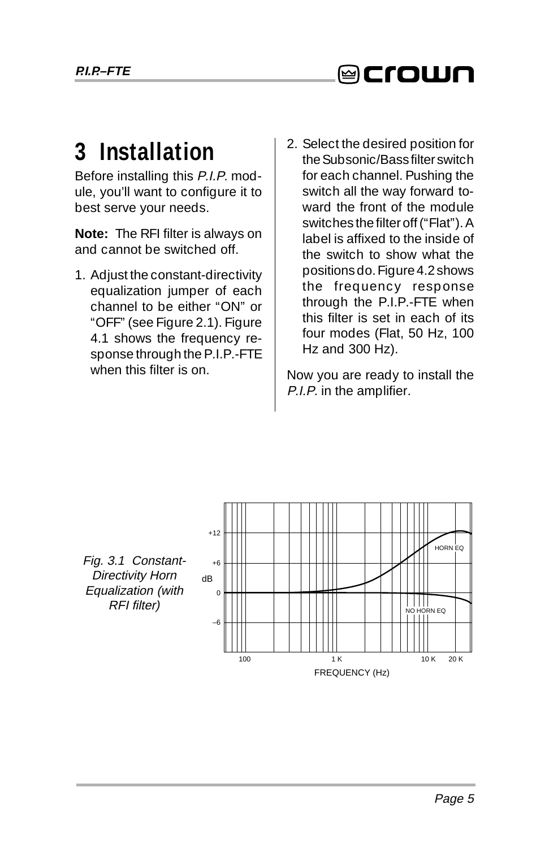# **3 Installation**

Before installing this P.I.P. module, you'll want to configure it to best serve your needs.

**Note:** The RFI filter is always on and cannot be switched off.

- 1. Adjust the constant-directivity equalization jumper of each channel to be either "ON" or "OFF" (see Figure 2.1). Figure 4.1 shows the frequency response through the P.I.P.-FTE when this filter is on.
- 2. Select the desired position for the Subsonic/Bass filter switch for each channel. Pushing the switch all the way forward toward the front of the module switches the filter off ("Flat"). A label is affixed to the inside of the switch to show what the positions do. Figure 4.2 shows the frequency response through the P.I.P.-FTE when this filter is set in each of its four modes (Flat, 50 Hz, 100 Hz and 300 Hz).

Now you are ready to install the P.I.P. in the amplifier.



#### **⊗crown**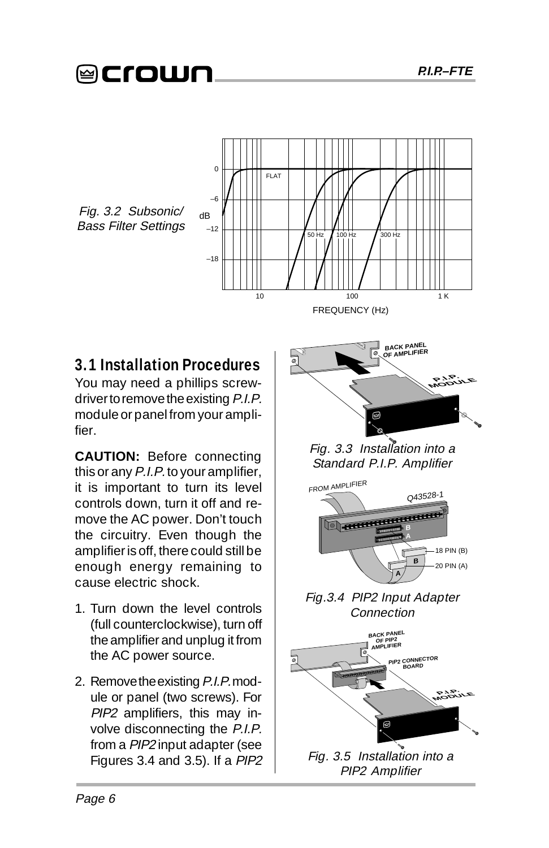

#### **3.1 Installation Procedures**

You may need a phillips screwdriver to remove the existing P.I.P. module or panel from your amplifier.

**CAUTION:** Before connecting this or any P.I.P. to your amplifier, it is important to turn its level controls down, turn it off and remove the AC power. Don't touch the circuitry. Even though the amplifier is off, there could still be enough energy remaining to cause electric shock.

- 1. Turn down the level controls (full counterclockwise), turn off the amplifier and unplug it from the AC power source.
- 2. Remove the existing P.I.P. module or panel (two screws). For PIP2 amplifiers, this may involve disconnecting the P.I.P. from a PIP2 input adapter (see Figures 3.4 and 3.5). If a PIP2



Fig. 3.3 Installation into a Standard P.I.P. Amplifier



Fig.3.4 PIP2 Input Adapter Connection



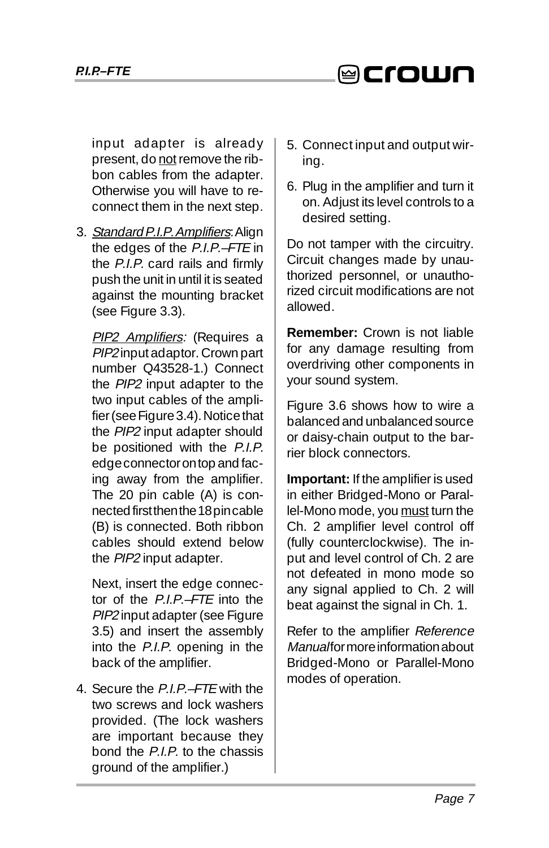input adapter is already present, do not remove the ribbon cables from the adapter. Otherwise you will have to reconnect them in the next step.

3. Standard P.I.P. Amplifiers: Align the edges of the P.I.P.–FTE in the P.I.P. card rails and firmly push the unit in until it is seated against the mounting bracket (see Figure 3.3).

PIP2 Amplifiers: (Requires a PIP2 input adaptor. Crown part number Q43528-1.) Connect the PIP2 input adapter to the two input cables of the amplifier (see Figure 3.4). Notice that the PIP2 input adapter should be positioned with the P.I.P. edge connector on top and facing away from the amplifier. The 20 pin cable (A) is connected first then the 18 pin cable (B) is connected. Both ribbon cables should extend below the PIP2 input adapter.

Next, insert the edge connector of the P.I.P.–FTE into the PIP2 input adapter (see Figure 3.5) and insert the assembly into the P.I.P. opening in the back of the amplifier.

4. Secure the P.I.P.–FTE with the two screws and lock washers provided. (The lock washers are important because they bond the P.I.P. to the chassis ground of the amplifier.)

- 5. Connect input and output wiring.
- 6. Plug in the amplifier and turn it on. Adjust its level controls to a desired setting.

Do not tamper with the circuitry. Circuit changes made by unauthorized personnel, or unauthorized circuit modifications are not allowed.

**Remember:** Crown is not liable for any damage resulting from overdriving other components in your sound system.

Figure 3.6 shows how to wire a balanced and unbalanced source or daisy-chain output to the barrier block connectors.

**Important:** If the amplifier is used in either Bridged-Mono or Parallel-Mono mode, you must turn the Ch. 2 amplifier level control off (fully counterclockwise). The input and level control of Ch. 2 are not defeated in mono mode so any signal applied to Ch. 2 will beat against the signal in Ch. 1.

Refer to the amplifier Reference Manual for more information about Bridged-Mono or Parallel-Mono modes of operation.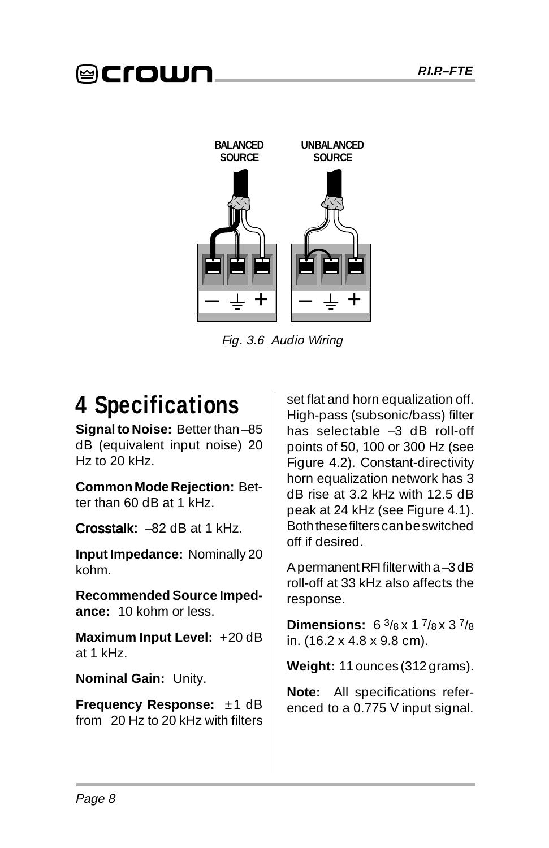

Fig. 3.6 Audio Wiring

# **4 Specifications**

**Signal to Noise:** Better than –85 dB (equivalent input noise) 20 Hz to 20 kHz.

**Common Mode Rejection:** Better than 60 dB at 1 kHz.

Crosstalk: Crosstalk:–82 dB at 1 kHz.

**Input Impedance:** Nominally 20 kohm.

**Recommended Source Impedance:** 10 kohm or less.

**Maximum Input Level:** +20 dB at 1 kHz.

**Nominal Gain:** Unity.

**Frequency Response:** ±1 dB from 20 Hz to 20 kHz with filters set flat and horn equalization off. High-pass (subsonic/bass) filter has selectable -3 dB roll-off points of 50, 100 or 300 Hz (see Figure 4.2). Constant-directivity horn equalization network has 3 dB rise at 3.2 kHz with 12.5 dB peak at 24 kHz (see Figure 4.1). Both these filters can be switched off if desired.

A permanent RFI filter with a –3 dB roll-off at 33 kHz also affects the response.

**Dimensions:**  $6 \frac{3}{8} \times 1 \frac{7}{8} \times 3 \frac{7}{8}$ in. (16.2 x 4.8 x 9.8 cm).

**Weight:** 11 ounces (312 grams).

**Note:** All specifications referenced to a 0.775 V input signal.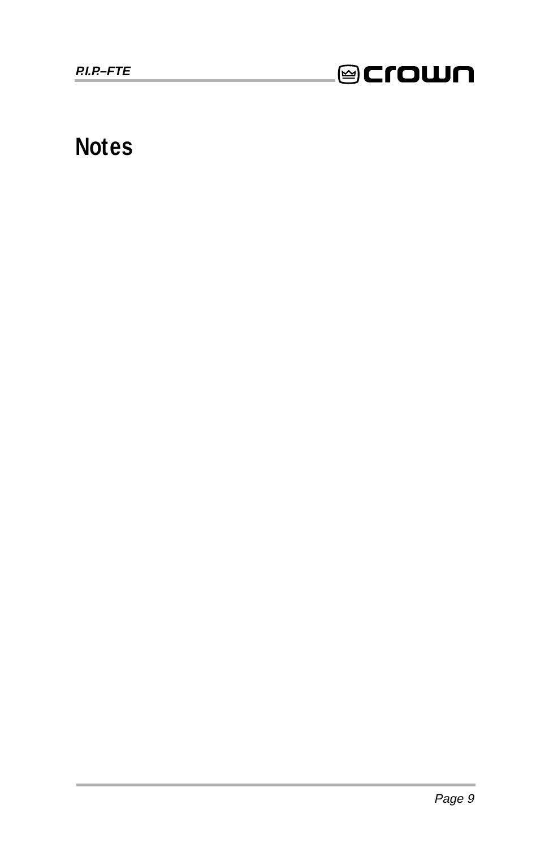### **@crown**

## **Notes**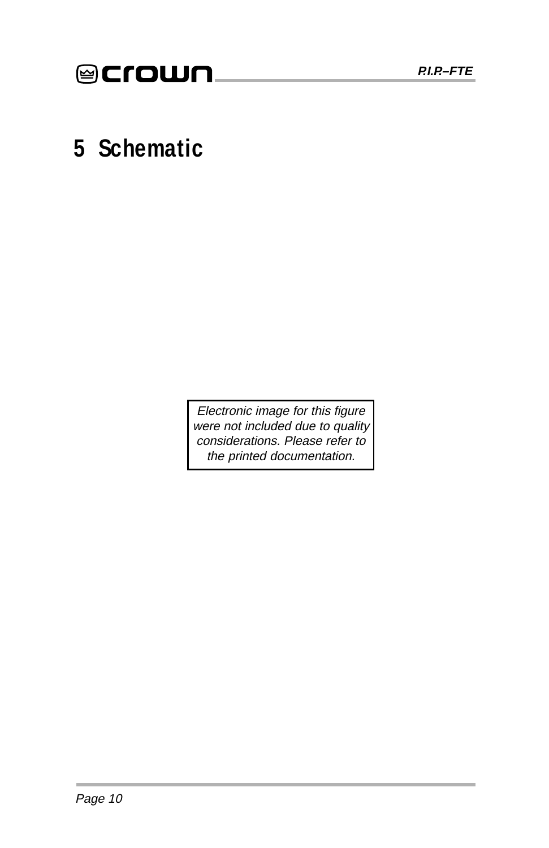## **5 Schematic**

Electronic image for this figure were not included due to quality considerations. Please refer to the printed documentation.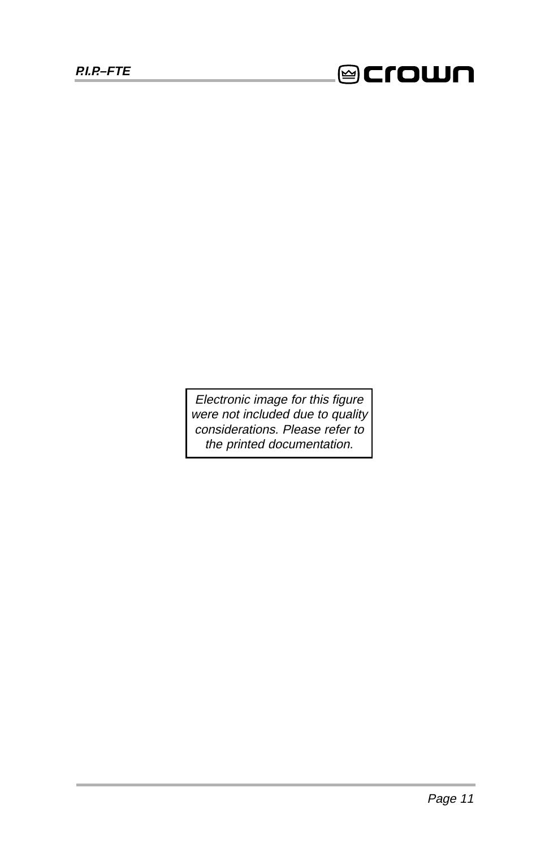#### **@crown**

Electronic image for this figure were not included due to quality considerations. Please refer to the printed documentation.